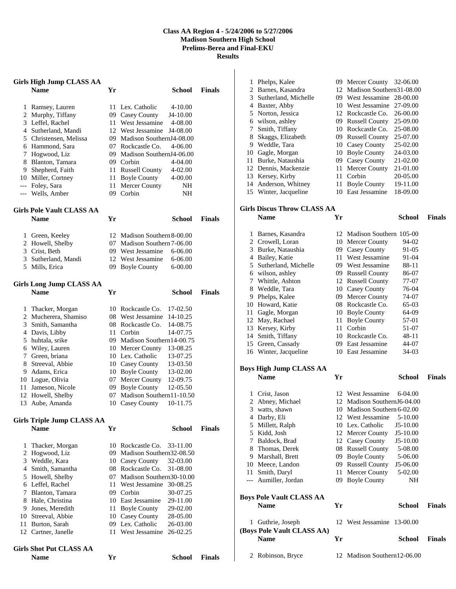## **Class AA Region 4 - 5/24/2006 to 5/27/2006 Madison Southern High School Prelims-Berea and Final-EKU Results**

|   | <b>Girls High Jump CLASS AA</b><br><b>Name</b> | Yr | School                           | <b>Finals</b> |
|---|------------------------------------------------|----|----------------------------------|---------------|
|   | 1 Ramsey, Lauren                               |    | 11 Lex. Catholic<br>$4 - 10.00$  |               |
|   | 2 Murphy, Tiffany                              |    | 09 Casey County<br>J4-10.00      |               |
|   | 3 Leffel, Rachel                               |    | 11 West Jessamine<br>4-08.00     |               |
|   | 4 Sutherland, Mandi                            |    | 12 West Jessamine<br>J4-08.00    |               |
|   | 5 Christensen, Melissa                         |    | 09 Madison SouthernJ4-08.00      |               |
|   | 6 Hammond, Sara                                |    | 07 Rockcastle Co.<br>4-06.00     |               |
|   | 7 Hogwood, Liz                                 |    | 09 Madison SouthernJ4-06.00      |               |
|   | 8 Blanton, Tamara                              |    | 09 Corbin<br>4-04.00             |               |
|   | 9 Shepherd, Faith                              |    | 11 Russell County<br>4-02.00     |               |
|   | 10 Miller, Cortney                             |    | 11 Boyle County<br>4-00.00       |               |
|   | --- Foley, Sara                                |    | 11 Mercer County<br>NH           |               |
|   | --- Wells, Amber                               |    | 09 Corbin<br>NH                  |               |
|   | <b>Girls Pole Vault CLASS AA</b>               |    |                                  |               |
|   | <b>Name</b>                                    | Yr | <b>School</b>                    | <b>Finals</b> |
|   | 1 Green, Keeley                                |    | 12 Madison Southern 8-00.00      |               |
|   | 2 Howell, Shelby                               |    | 07 Madison Southern 7-06.00      |               |
|   | 3 Crist, Beth                                  |    | 09 West Jessamine<br>$6 - 06.00$ |               |
|   | 3 Sutherland, Mandi                            |    | 12 West Jessamine<br>$6 - 06.00$ |               |
|   | 5 Mills, Erica                                 |    | 09 Boyle County<br>$6 - 00.00$   |               |
|   | Girls Long Jump CLASS AA                       |    |                                  |               |
|   | <b>Name</b>                                    | Yr | <b>School</b>                    | <b>Finals</b> |
|   | 1 Thacker, Morgan                              |    | 10 Rockcastle Co.<br>17-02.50    |               |
|   | 2 Mucherera, Shamiso                           |    | 08 West Jessamine<br>14-10.25    |               |
|   | 3 Smith, Samantha                              |    | 08 Rockcastle Co.<br>14-08.75    |               |
|   | 4 Davis, Libby                                 |    | 11 Corbin<br>14-07.75            |               |
|   | 5 huhtala, srike                               |    | 09 Madison Southern14-00.75      |               |
|   | 6 Wiley, Lauren                                |    | 10 Mercer County<br>13-08.25     |               |
|   | 7 Green, briana                                |    | 10 Lex. Catholic<br>13-07.25     |               |
|   | 8 Streeval, Abbie                              |    | 10 Casey County<br>13-03.50      |               |
|   | 9 Adams, Erica                                 |    | 10 Boyle County<br>13-02.00      |               |
|   | 10 Logue, Olivia                               |    | 07 Mercer County<br>12-09.75     |               |
|   | 11 Jameson, Nicole                             |    | 09 Boyle County<br>12-05.50      |               |
|   | 12 Howell, Shelby                              |    | 07 Madison Southern11-10.50      |               |
|   | 13 Aube, Amanda                                |    | 10 Casey County<br>10-11.75      |               |
|   | <b>Girls Triple Jump CLASS AA</b>              |    |                                  |               |
|   | <b>Name</b>                                    | Yr | <b>School</b>                    | <b>Finals</b> |
| 1 | Thacker, Morgan                                |    | 10 Rockcastle Co.<br>33-11.00    |               |
|   | 2 Hogwood, Liz                                 |    | 09 Madison Southern32-08.50      |               |
|   | 3 Weddle, Kara                                 |    | 10 Casey County<br>32-03.00      |               |
|   | 4 Smith, Samantha                              |    | 08 Rockcastle Co.<br>31-08.00    |               |
|   | 5 Howell, Shelby                               |    | 07 Madison Southern30-10.00      |               |
|   | 6 Leffel, Rachel                               |    | 11 West Jessamine 30-08.25       |               |
|   | 7 Blanton, Tamara                              |    | 09 Corbin<br>30-07.25            |               |
|   | 8 Hale, Christina                              |    | 10 East Jessamine<br>29-11.00    |               |
|   | 9 Jones, Meredith                              |    | 11 Boyle County<br>29-02.00      |               |
|   | 10 Streeval, Abbie                             |    | 10 Casey County<br>28-05.00      |               |
|   | 11 Burton, Sarah                               |    | 09 Lex. Catholic<br>26-03.00     |               |
|   | 12 Cartner, Janelle                            |    | 11 West Jessamine<br>26-02.25    |               |
|   | <b>Girls Shot Put CLASS AA</b>                 |    |                                  |               |
|   | <b>Name</b>                                    | Yr | <b>School</b>                    | <b>Finals</b> |

| 1              | Phelps, Kalee                             |    | 09 Mercer County            | 32-06.00      |               |
|----------------|-------------------------------------------|----|-----------------------------|---------------|---------------|
|                | 2 Barnes, Kasandra                        |    | 12 Madison Southern31-08.00 |               |               |
| 3              | Sutherland, Michelle                      |    | 09 West Jessamine           | 28-00.00      |               |
|                | 4 Baxter, Abby                            |    | 10 West Jessamine           | 27-09.00      |               |
| 5              | Norton, Jessica                           |    | 12 Rockcastle Co.           | 26-00.00      |               |
|                | 6 wilson, ashley                          |    | 09 Russell County           | 25-09.00      |               |
| 7              | Smith, Tiffany                            |    | 10 Rockcastle Co.           | 25-08.00      |               |
| 8              | Skaggs, Elizabeth                         |    | 09 Russell County           | 25-07.00      |               |
| 9              | Weddle, Tara                              |    | 10 Casey County             | 25-02.00      |               |
|                | 10 Gagle, Morgan                          |    | 10 Boyle County             | 24-03.00      |               |
| 11             | Burke, Nataushia                          |    | 09 Casey County             | 21-02.00      |               |
| 12             | Dennis, Mackenzie                         | 11 | Mercer County               | 21-01.00      |               |
| 13             | Kersey, Kirby                             |    | 11 Corbin                   | 20-05.00      |               |
|                | 14 Anderson, Whitney                      | 11 | <b>Boyle County</b>         | 19-11.00      |               |
|                | 15 Winter, Jacqueline                     |    | 10 East Jessamine           | 18-09.00      |               |
|                | <b>Girls Discus Throw CLASS AA</b>        |    |                             |               |               |
|                | <b>Name</b>                               | Yr |                             | <b>School</b> | <b>Finals</b> |
| 1              | Barnes, Kasandra                          |    | 12 Madison Southern 105-00  |               |               |
|                | 2 Crowell, Loran                          |    | 10 Mercer County            | 94-02         |               |
| 3              | Burke, Nataushia                          |    | 09 Casey County             | 91-05         |               |
|                | 4 Bailey, Katie                           | 11 | West Jessamine              | 91-04         |               |
|                | 5 Sutherland, Michelle                    |    | 09 West Jessamine           | 88-11         |               |
|                | 6 wilson, ashley                          |    | 09 Russell County           | 86-07         |               |
| 7              | Whittle, Ashton                           |    | 12 Russell County           | 77-07         |               |
| 8              | Weddle, Tara                              |    | 10 Casey County             | 76-04         |               |
| 9              | Phelps, Kalee                             |    | 09 Mercer County            | 74-07         |               |
|                | 10 Howard, Katie                          |    | 08 Rockcastle Co.           | 65-03         |               |
| 11             | Gagle, Morgan                             |    | 10 Boyle County             | 64-09         |               |
| 12             | May, Rachael                              | 11 | <b>Boyle County</b>         | 57-01         |               |
| 13             | Kersey, Kirby                             | 11 | Corbin                      | 51-07         |               |
| 14             | Smith, Tiffany                            |    | 10 Rockcastle Co.           | 48-11         |               |
|                | 15 Green, Cassady                         |    | 09 East Jessamine           | 44-07         |               |
|                | 16 Winter, Jacqueline                     |    | 10 East Jessamine           | 34-03         |               |
|                | <b>Boys High Jump CLASS AA</b>            |    |                             |               |               |
|                | <b>Name</b>                               | Yr |                             | <b>School</b> | <b>Finals</b> |
|                |                                           |    |                             |               |               |
| 1              | Crist, Jason                              | 12 | West Jessamine              | 6-04.00       |               |
| $\overline{c}$ | Abney, Michael                            |    | 12 Madison SouthernJ6-04.00 |               |               |
| 3              | watts, shawn                              |    | 10 Madison Southern 6-02.00 |               |               |
|                | 4 Darby, Eli                              |    | 12 West Jessamine           | 5-10.00       |               |
| 5              | Millett, Ralph                            |    | 10 Lex. Catholic            | $J5-10.00$    |               |
|                | 5 Kidd, Josh                              |    | 12 Mercer County            | $J5-10.00$    |               |
| 7              | Baldock, Brad                             |    | 12 Casey County             | $J5-10.00$    |               |
|                | 8 Thomas, Derek                           |    | 08 Russell County           | 5-08.00       |               |
|                | 9 Marshall, Brett                         |    | 09 Boyle County             | 5-06.00       |               |
|                | 10 Meece, Landon                          |    | 09 Russell County           | J5-06.00      |               |
| 11             | Smith, Daryl                              | 11 | Mercer County               | 5-02.00       |               |
| $\overline{a}$ | Aumiller, Jordan                          |    | 09 Boyle County             | NH            |               |
|                | <b>Boys Pole Vault CLASS AA</b>           |    |                             |               |               |
|                | <b>Name</b>                               | Yr |                             | <b>School</b> | <b>Finals</b> |
| 1              | Guthrie, Joseph                           |    | 12 West Jessamine 13-00.00  |               |               |
|                | (Boys Pole Vault CLASS AA)<br><b>Name</b> | Yr |                             | <b>School</b> | <b>Finals</b> |
|                |                                           |    |                             |               |               |
|                | 2 Robinson, Bryce                         |    | 12 Madison Southern12-06.00 |               |               |